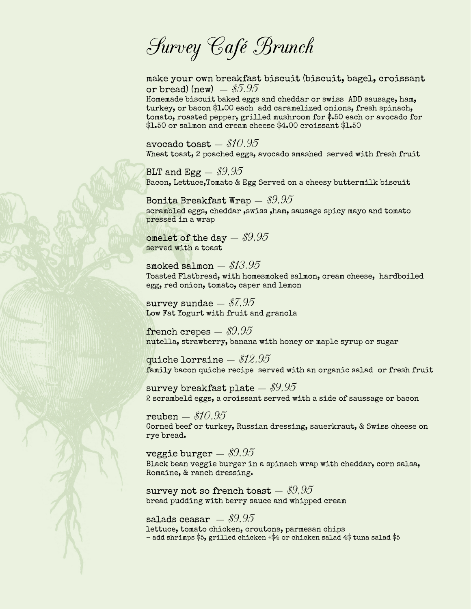Survey Café Brunch

make your own breakfast biscuit (biscuit, bagel, croissant or bread) (new)  $-.85.95$ 

Homemade biscuit baked eggs and cheddar or swiss ADD sausage, ham, turkey, or bacon \$1.00 each add caramelized onions, fresh spinach, tomato, roasted pepper, grilled mushroom for \$.50 each or avocado for \$1.50 or salmon and cream cheese \$4.00 croissant \$1.50

avocado toast  $-$  \$10.95 Wheat toast, 2 poached eggs, avocado smashed served with fresh fruit

BLT and Egg  $-$  \$9,95 Bacon, Lettuce,Tomato & Egg Served on a cheesy buttermilk biscuit

Bonita Breakfast Wrap  $\$9.95$ scrambled eggs, cheddar ,swiss ,ham, sausage spicy mayo and tomato pressed in a wrap

omelet of the day  $\$9,95$ served with a toast

smoked salmon - \$13.95 Toasted Flatbread, with homesmoked salmon, cream cheese, hardboiled egg, red onion, tomato, caper and lemon

survey sundae  $-$  \$7,95 Low Fat Yogurt with fruit and granola

french crepes  $-$  \$9,95 nutella, strawberry, banana with honey or maple syrup or sugar

quiche lorraine  $-$  \$12,95 family bacon quiche recipe served with an organic salad or fresh fruit

survey breakfast plate  $-$  \$9.95 2 scrambeld eggs, a croissant served with a side of saussage or bacon

 $reuben = $10.95$ Corned beef or turkey, Russian dressing, sauerkraut, & Swiss cheese on rye bread.

veggie burger  $\$9.95$ Black bean veggie burger in a spinach wrap with cheddar, corn salsa, Romaine, & ranch dressing.

survey not so french toast  $-$  \$9.95 bread pudding with berry sauce and whipped cream

salads ceasar  $-$  \$9.95 lettuce, tomato chicken, croutons, parmesan chips – add shrimps \$5, grilled chicken +\$4 or chicken salad 4\$ tuna salad \$5